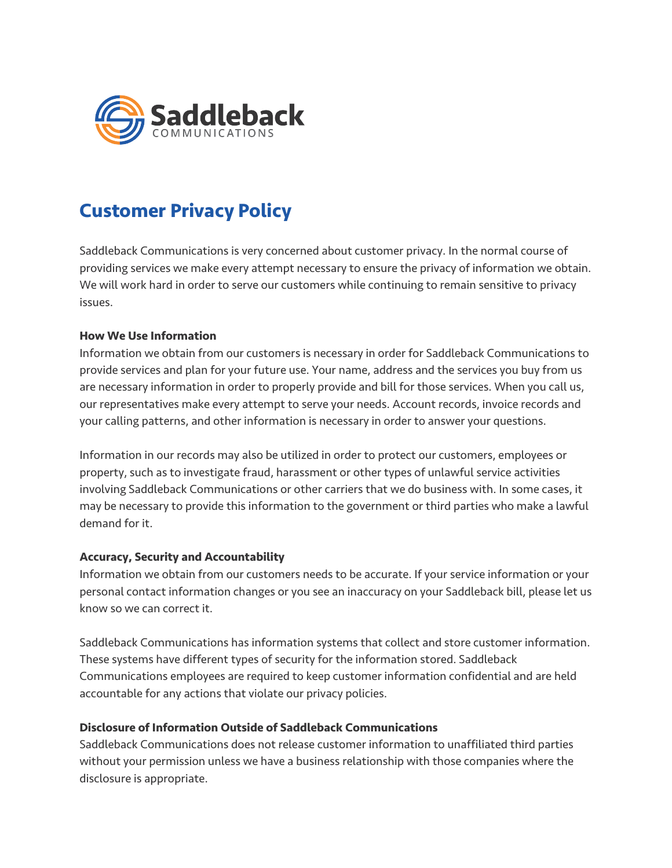

# **Customer Privacy Policy**

Saddleback Communications is very concerned about customer privacy. In the normal course of providing services we make every attempt necessary to ensure the privacy of information we obtain. We will work hard in order to serve our customers while continuing to remain sensitive to privacy issues.

## **How We Use Information**

Information we obtain from our customers is necessary in order for Saddleback Communications to provide services and plan for your future use. Your name, address and the services you buy from us are necessary information in order to properly provide and bill for those services. When you call us, our representatives make every attempt to serve your needs. Account records, invoice records and your calling patterns, and other information is necessary in order to answer your questions.

Information in our records may also be utilized in order to protect our customers, employees or property, such as to investigate fraud, harassment or other types of unlawful service activities involving Saddleback Communications or other carriers that we do business with. In some cases, it may be necessary to provide this information to the government or third parties who make a lawful demand for it.

## **Accuracy, Security and Accountability**

Information we obtain from our customers needs to be accurate. If your service information or your personal contact information changes or you see an inaccuracy on your Saddleback bill, please let us know so we can correct it.

Saddleback Communications has information systems that collect and store customer information. These systems have different types of security for the information stored. Saddleback Communications employees are required to keep customer information confidential and are held accountable for any actions that violate our privacy policies.

#### **Disclosure of Information Outside of Saddleback Communications**

Saddleback Communications does not release customer information to unaffiliated third parties without your permission unless we have a business relationship with those companies where the disclosure is appropriate.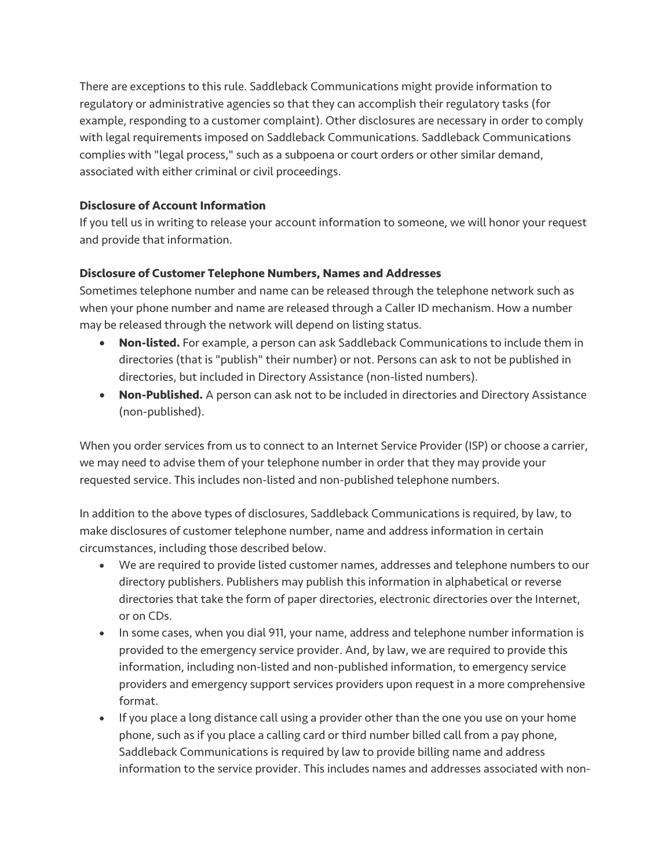There are exceptions to this rule. Saddleback Communications might provide information to regulatory or administrative agencies so that they can accomplish their regulatory tasks (for example, responding to a customer complaint). Other disclosures are necessary in order to comply with legal requirements imposed on Saddleback Communications. Saddleback Communications complies with "legal process," such as a subpoena or court orders or other similar demand, associated with either criminal or civil proceedings.

# **Disclosure of Account Information**

If you tell us in writing to release your account information to someone, we will honor your request and provide that information.

## **Disclosure of Customer Telephone Numbers, Names and Addresses**

Sometimes telephone number and name can be released through the telephone network such as when your phone number and name are released through a Caller ID mechanism. How a number may be released through the network will depend on listing status.

- **Non-listed.** For example, a person can ask Saddleback Communications to include them in directories (that is "publish" their number) or not. Persons can ask to not be published in directories, but included in Directory Assistance (non-listed numbers).
- **Non-Published.** A person can ask not to be included in directories and Directory Assistance (non-published).

When you order services from us to connect to an Internet Service Provider (ISP) or choose a carrier, we may need to advise them of your telephone number in order that they may provide your requested service. This includes non-listed and non-published telephone numbers.

In addition to the above types of disclosures, Saddleback Communications is required, by law, to make disclosures of customer telephone number, name and address information in certain circumstances, including those described below.

- We are required to provide listed customer names, addresses and telephone numbers to our directory publishers. Publishers may publish this information in alphabetical or reverse directories that take the form of paper directories, electronic directories over the Internet, or on CDs.
- In some cases, when you dial 911, your name, address and telephone number information is provided to the emergency service provider. And, by law, we are required to provide this information, including non-listed and non-published information, to emergency service providers and emergency support services providers upon request in a more comprehensive format.
- If you place a long distance call using a provider other than the one you use on your home phone, such as if you place a calling card or third number billed call from a pay phone, Saddleback Communications is required by law to provide billing name and address information to the service provider. This includes names and addresses associated with non-